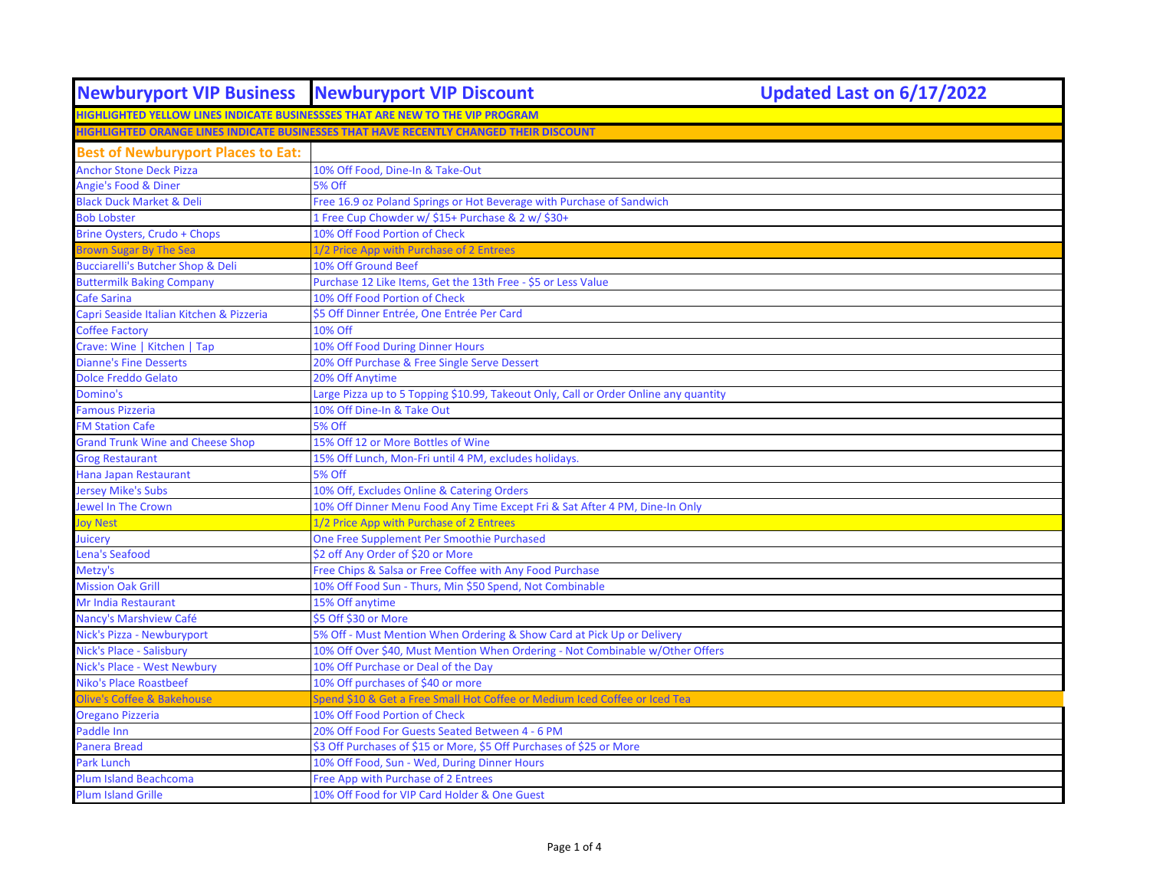| <b>Newburyport VIP Business Newburyport VIP Discount</b>                               |                                                                                      | Updated Last on 6/17/2022 |  |
|----------------------------------------------------------------------------------------|--------------------------------------------------------------------------------------|---------------------------|--|
| HIGHLIGHTED YELLOW LINES INDICATE BUSINESSSES THAT ARE NEW TO THE VIP PROGRAM          |                                                                                      |                           |  |
| HIGHLIGHTED ORANGE LINES INDICATE BUSINESSES THAT HAVE RECENTLY CHANGED THEIR DISCOUNT |                                                                                      |                           |  |
| <b>Best of Newburyport Places to Eat:</b>                                              |                                                                                      |                           |  |
| <b>Anchor Stone Deck Pizza</b>                                                         | 10% Off Food, Dine-In & Take-Out                                                     |                           |  |
| <b>Angie's Food &amp; Diner</b>                                                        | <b>5% Off</b>                                                                        |                           |  |
| <b>Black Duck Market &amp; Deli</b>                                                    | Free 16.9 oz Poland Springs or Hot Beverage with Purchase of Sandwich                |                           |  |
| <b>Bob Lobster</b>                                                                     | 1 Free Cup Chowder w/ \$15+ Purchase & 2 w/ \$30+                                    |                           |  |
| Brine Oysters, Crudo + Chops                                                           | 10% Off Food Portion of Check                                                        |                           |  |
| <b>Brown Sugar By The Sea</b>                                                          | 1/2 Price App with Purchase of 2 Entrees                                             |                           |  |
| <b>Bucciarelli's Butcher Shop &amp; Deli</b>                                           | 10% Off Ground Beef                                                                  |                           |  |
| <b>Buttermilk Baking Company</b>                                                       | Purchase 12 Like Items, Get the 13th Free - \$5 or Less Value                        |                           |  |
| Cafe Sarina                                                                            | 10% Off Food Portion of Check                                                        |                           |  |
| Capri Seaside Italian Kitchen & Pizzeria                                               | \$5 Off Dinner Entrée, One Entrée Per Card                                           |                           |  |
| Coffee Factory                                                                         | 10% Off                                                                              |                           |  |
| Crave: Wine   Kitchen   Tap                                                            | 10% Off Food During Dinner Hours                                                     |                           |  |
| <b>Dianne's Fine Desserts</b>                                                          | 20% Off Purchase & Free Single Serve Dessert                                         |                           |  |
| <b>Dolce Freddo Gelato</b>                                                             | 20% Off Anytime                                                                      |                           |  |
| Domino's                                                                               | Large Pizza up to 5 Topping \$10.99, Takeout Only, Call or Order Online any quantity |                           |  |
| <b>Famous Pizzeria</b>                                                                 | 10% Off Dine-In & Take Out                                                           |                           |  |
| <b>FM Station Cafe</b>                                                                 | <b>5% Off</b>                                                                        |                           |  |
| <b>Grand Trunk Wine and Cheese Shop</b>                                                | 15% Off 12 or More Bottles of Wine                                                   |                           |  |
| <b>Grog Restaurant</b>                                                                 | 15% Off Lunch, Mon-Fri until 4 PM, excludes holidays.                                |                           |  |
| <b>Hana Japan Restaurant</b>                                                           | <b>5% Off</b>                                                                        |                           |  |
| <b>Jersey Mike's Subs</b>                                                              | 10% Off, Excludes Online & Catering Orders                                           |                           |  |
| <b>Jewel In The Crown</b>                                                              | 10% Off Dinner Menu Food Any Time Except Fri & Sat After 4 PM, Dine-In Only          |                           |  |
| loy Nest                                                                               | 1/2 Price App with Purchase of 2 Entrees                                             |                           |  |
| uicery                                                                                 | One Free Supplement Per Smoothie Purchased                                           |                           |  |
| ena's Seafood                                                                          | \$2 off Any Order of \$20 or More                                                    |                           |  |
| Metzy's                                                                                | Free Chips & Salsa or Free Coffee with Any Food Purchase                             |                           |  |
| <b>Mission Oak Grill</b>                                                               | 10% Off Food Sun - Thurs, Min \$50 Spend, Not Combinable                             |                           |  |
| <b>Mr India Restaurant</b>                                                             | 15% Off anytime                                                                      |                           |  |
| Nancy's Marshview Café                                                                 | \$5 Off \$30 or More                                                                 |                           |  |
| Nick's Pizza - Newburyport                                                             | 5% Off - Must Mention When Ordering & Show Card at Pick Up or Delivery               |                           |  |
| <b>Nick's Place - Salisbury</b>                                                        | 10% Off Over \$40, Must Mention When Ordering - Not Combinable w/Other Offers        |                           |  |
| <b>Nick's Place - West Newbury</b>                                                     | 10% Off Purchase or Deal of the Day                                                  |                           |  |
| <b>Niko's Place Roastbeef</b>                                                          | 10% Off purchases of \$40 or more                                                    |                           |  |
| <b>Olive's Coffee &amp; Bakehouse</b>                                                  | Spend \$10 & Get a Free Small Hot Coffee or Medium Iced Coffee or Iced Tea           |                           |  |
| Oregano Pizzeria                                                                       | 10% Off Food Portion of Check                                                        |                           |  |
| Paddle Inn                                                                             | 20% Off Food For Guests Seated Between 4 - 6 PM                                      |                           |  |
| Panera Bread                                                                           | \$3 Off Purchases of \$15 or More, \$5 Off Purchases of \$25 or More                 |                           |  |
| <b>Park Lunch</b>                                                                      | 10% Off Food, Sun - Wed, During Dinner Hours                                         |                           |  |
| <b>Plum Island Beachcoma</b>                                                           | Free App with Purchase of 2 Entrees                                                  |                           |  |
| <b>Plum Island Grille</b>                                                              | 10% Off Food for VIP Card Holder & One Guest                                         |                           |  |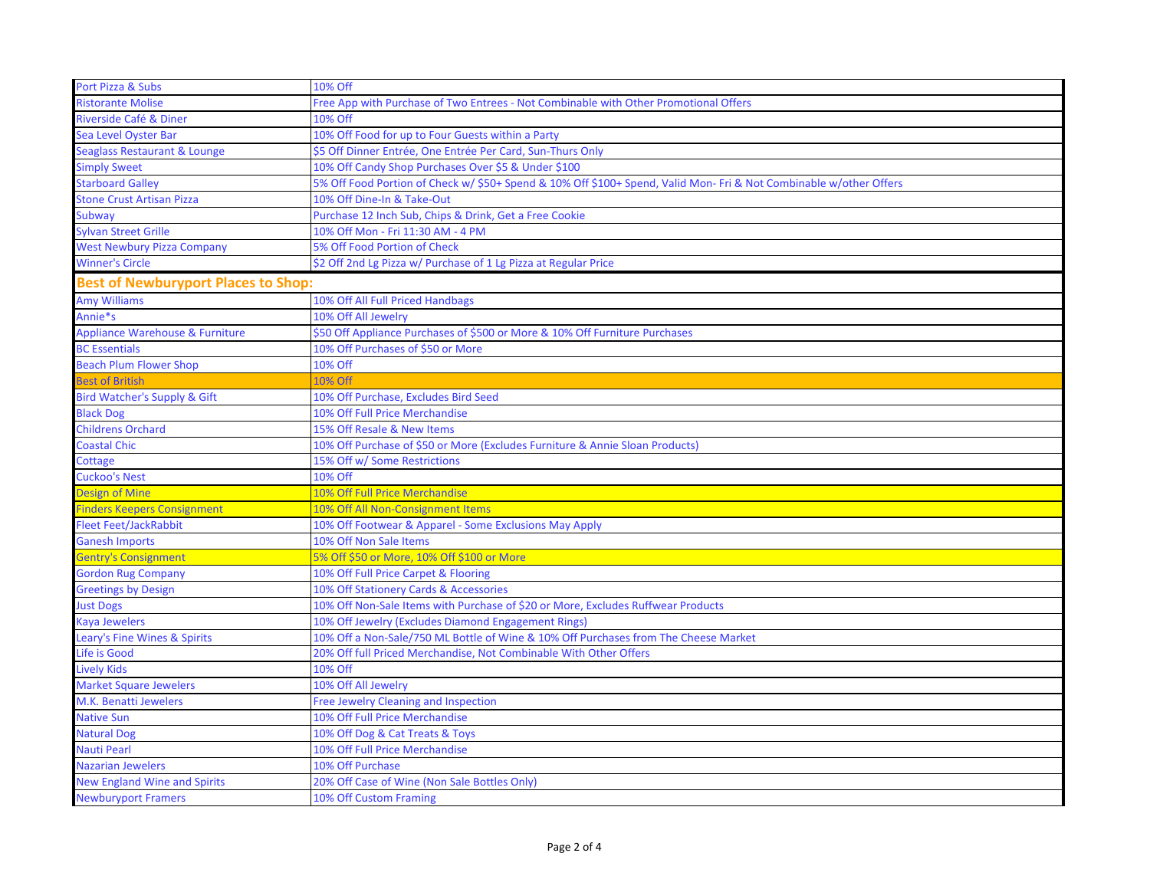| Port Pizza & Subs                          | 10% Off                                                                                                            |  |
|--------------------------------------------|--------------------------------------------------------------------------------------------------------------------|--|
| <b>Ristorante Molise</b>                   | Free App with Purchase of Two Entrees - Not Combinable with Other Promotional Offers                               |  |
| Riverside Café & Diner                     | 10% Off                                                                                                            |  |
| Sea Level Oyster Bar                       | 10% Off Food for up to Four Guests within a Party                                                                  |  |
| Seaglass Restaurant & Lounge               | \$5 Off Dinner Entrée, One Entrée Per Card, Sun-Thurs Only                                                         |  |
| <b>Simply Sweet</b>                        | 10% Off Candy Shop Purchases Over \$5 & Under \$100                                                                |  |
| <b>Starboard Galley</b>                    | 5% Off Food Portion of Check w/ \$50+ Spend & 10% Off \$100+ Spend, Valid Mon- Fri & Not Combinable w/other Offers |  |
| Stone Crust Artisan Pizza                  | 10% Off Dine-In & Take-Out                                                                                         |  |
| Subway                                     | Purchase 12 Inch Sub, Chips & Drink, Get a Free Cookie                                                             |  |
| <b>Sylvan Street Grille</b>                | 10% Off Mon - Fri 11:30 AM - 4 PM                                                                                  |  |
| <b>West Newbury Pizza Company</b>          | 5% Off Food Portion of Check                                                                                       |  |
| <b>Winner's Circle</b>                     | \$2 Off 2nd Lg Pizza w/ Purchase of 1 Lg Pizza at Regular Price                                                    |  |
| <b>Best of Newburyport Places to Shop:</b> |                                                                                                                    |  |
| <b>Amy Williams</b>                        | 10% Off All Full Priced Handbags                                                                                   |  |
| Annie*s                                    | 10% Off All Jewelry                                                                                                |  |
| <b>Appliance Warehouse &amp; Furniture</b> | \$50 Off Appliance Purchases of \$500 or More & 10% Off Furniture Purchases                                        |  |
| <b>BC Essentials</b>                       | 10% Off Purchases of \$50 or More                                                                                  |  |
| <b>Beach Plum Flower Shop</b>              | 10% Off                                                                                                            |  |
| <b>Best of British</b>                     | 10% Off                                                                                                            |  |
| <b>Bird Watcher's Supply &amp; Gift</b>    | 10% Off Purchase, Excludes Bird Seed                                                                               |  |
| <b>Black Dog</b>                           | 10% Off Full Price Merchandise                                                                                     |  |
| <b>Childrens Orchard</b>                   | 15% Off Resale & New Items                                                                                         |  |
| <b>Coastal Chic</b>                        | 10% Off Purchase of \$50 or More (Excludes Furniture & Annie Sloan Products)                                       |  |
| Cottage                                    | 15% Off w/ Some Restrictions                                                                                       |  |
| <b>Cuckoo's Nest</b>                       | 10% Off                                                                                                            |  |
| <b>Design of Mine</b>                      | 10% Off Full Price Merchandise                                                                                     |  |
| <b>Finders Keepers Consignment</b>         | 10% Off All Non-Consignment Items                                                                                  |  |
| <b>Fleet Feet/JackRabbit</b>               | 10% Off Footwear & Apparel - Some Exclusions May Apply                                                             |  |
| <b>Ganesh Imports</b>                      | 10% Off Non Sale Items                                                                                             |  |
| <b>Gentry's Consignment</b>                | 5% Off \$50 or More, 10% Off \$100 or More                                                                         |  |
| <b>Gordon Rug Company</b>                  | 10% Off Full Price Carpet & Flooring                                                                               |  |
| <b>Greetings by Design</b>                 | 10% Off Stationery Cards & Accessories                                                                             |  |
| <b>Just Dogs</b>                           | 10% Off Non-Sale Items with Purchase of \$20 or More, Excludes Ruffwear Products                                   |  |
| <b>Caya Jewelers</b>                       | 10% Off Jewelry (Excludes Diamond Engagement Rings)                                                                |  |
| Leary's Fine Wines & Spirits               | 10% Off a Non-Sale/750 ML Bottle of Wine & 10% Off Purchases from The Cheese Market                                |  |
| Life is Good                               | 20% Off full Priced Merchandise, Not Combinable With Other Offers                                                  |  |
| <b>Lively Kids</b>                         | 10% Off                                                                                                            |  |
| <b>Market Square Jewelers</b>              | 10% Off All Jewelry                                                                                                |  |
| M.K. Benatti Jewelers                      | <b>Free Jewelry Cleaning and Inspection</b>                                                                        |  |
| <b>Native Sun</b>                          | 10% Off Full Price Merchandise                                                                                     |  |
| <b>Natural Dog</b>                         | 10% Off Dog & Cat Treats & Toys                                                                                    |  |
| <b>Nauti Pearl</b>                         | 10% Off Full Price Merchandise                                                                                     |  |
| <b>Nazarian Jewelers</b>                   | 10% Off Purchase                                                                                                   |  |
| <b>New England Wine and Spirits</b>        | 20% Off Case of Wine (Non Sale Bottles Only)                                                                       |  |
| <b>Newburyport Framers</b>                 | 10% Off Custom Framing                                                                                             |  |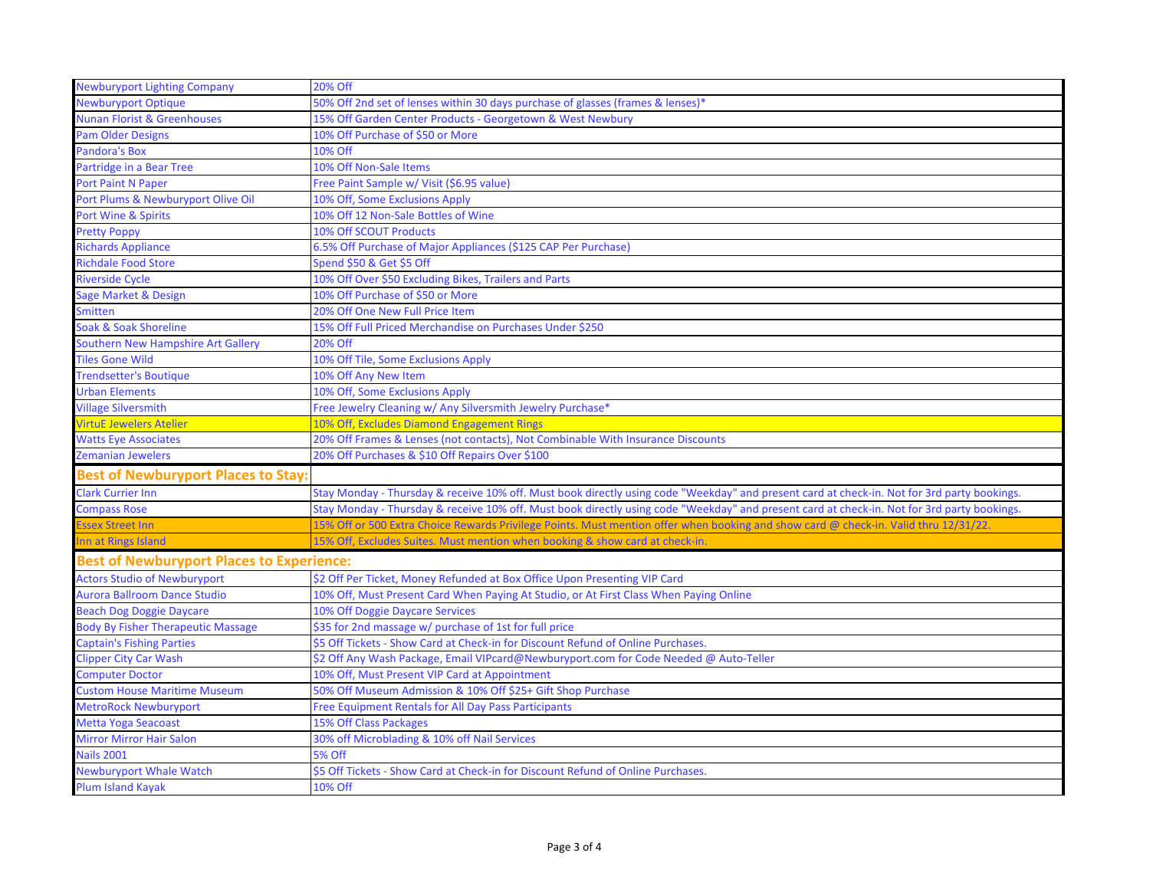| <b>Newburyport Lighting Company</b>              | 20% Off                                                                                                                                     |  |
|--------------------------------------------------|---------------------------------------------------------------------------------------------------------------------------------------------|--|
| <b>Newburyport Optique</b>                       | 50% Off 2nd set of lenses within 30 days purchase of glasses (frames & lenses)*                                                             |  |
| <b>Nunan Florist &amp; Greenhouses</b>           | 15% Off Garden Center Products - Georgetown & West Newbury                                                                                  |  |
| <b>Pam Older Designs</b>                         | 10% Off Purchase of \$50 or More                                                                                                            |  |
| <b>Pandora's Box</b>                             | 10% Off                                                                                                                                     |  |
| Partridge in a Bear Tree                         | 10% Off Non-Sale Items                                                                                                                      |  |
| <b>Port Paint N Paper</b>                        | Free Paint Sample w/ Visit (\$6.95 value)                                                                                                   |  |
| Port Plums & Newburyport Olive Oil               | 10% Off, Some Exclusions Apply                                                                                                              |  |
| Port Wine & Spirits                              | 10% Off 12 Non-Sale Bottles of Wine                                                                                                         |  |
| <b>Pretty Poppy</b>                              | <b>10% Off SCOUT Products</b>                                                                                                               |  |
| <b>Richards Appliance</b>                        | 6.5% Off Purchase of Major Appliances (\$125 CAP Per Purchase)                                                                              |  |
| <b>Richdale Food Store</b>                       | Spend \$50 & Get \$5 Off                                                                                                                    |  |
| <b>Riverside Cycle</b>                           | 10% Off Over \$50 Excluding Bikes, Trailers and Parts                                                                                       |  |
| Sage Market & Design                             | 10% Off Purchase of \$50 or More                                                                                                            |  |
| Smitten                                          | 20% Off One New Full Price Item                                                                                                             |  |
| Soak & Soak Shoreline                            | 15% Off Full Priced Merchandise on Purchases Under \$250                                                                                    |  |
| Southern New Hampshire Art Gallery               | 20% Off                                                                                                                                     |  |
| <b>Files Gone Wild</b>                           | 10% Off Tile, Some Exclusions Apply                                                                                                         |  |
| <b>Frendsetter's Boutique</b>                    | 10% Off Any New Item                                                                                                                        |  |
| <b>Urban Elements</b>                            | 10% Off, Some Exclusions Apply                                                                                                              |  |
| <b>Village Silversmith</b>                       | Free Jewelry Cleaning w/ Any Silversmith Jewelry Purchase*                                                                                  |  |
| <b>VirtuE Jewelers Atelier</b>                   | 10% Off, Excludes Diamond Engagement Rings                                                                                                  |  |
| <b>Watts Eye Associates</b>                      | 20% Off Frames & Lenses (not contacts), Not Combinable With Insurance Discounts                                                             |  |
| <b>Zemanian Jewelers</b>                         | 20% Off Purchases & \$10 Off Repairs Over \$100                                                                                             |  |
| <b>Best of Newburyport Places to Stay:</b>       |                                                                                                                                             |  |
| <b>Clark Currier Inn</b>                         | Stay Monday - Thursday & receive 10% off. Must book directly using code "Weekday" and present card at check-in. Not for 3rd party bookings. |  |
| <b>Compass Rose</b>                              | Stay Monday - Thursday & receive 10% off. Must book directly using code "Weekday" and present card at check-in. Not for 3rd party bookings. |  |
| <b>Essex Street Inn</b>                          | 15% Off or 500 Extra Choice Rewards Privilege Points. Must mention offer when booking and show card @ check-in. Valid thru 12/31/22.        |  |
| Inn at Rings Island                              | 15% Off, Excludes Suites. Must mention when booking & show card at check-in                                                                 |  |
| <b>Best of Newburyport Places to Experience:</b> |                                                                                                                                             |  |
| <b>Actors Studio of Newburyport</b>              | \$2 Off Per Ticket, Money Refunded at Box Office Upon Presenting VIP Card                                                                   |  |
| <b>Aurora Ballroom Dance Studio</b>              | 10% Off, Must Present Card When Paying At Studio, or At First Class When Paying Online                                                      |  |
| <b>Beach Dog Doggie Daycare</b>                  | 10% Off Doggie Daycare Services                                                                                                             |  |
| <b>Body By Fisher Therapeutic Massage</b>        | \$35 for 2nd massage w/ purchase of 1st for full price                                                                                      |  |
| <b>Captain's Fishing Parties</b>                 | \$5 Off Tickets - Show Card at Check-in for Discount Refund of Online Purchases.                                                            |  |
| <b>Clipper City Car Wash</b>                     | \$2 Off Any Wash Package, Email VIPcard@Newburyport.com for Code Needed @ Auto-Teller                                                       |  |
| Computer Doctor                                  | 10% Off, Must Present VIP Card at Appointment                                                                                               |  |
| <b>Custom House Maritime Museum</b>              | 50% Off Museum Admission & 10% Off \$25+ Gift Shop Purchase                                                                                 |  |
| <b>MetroRock Newburyport</b>                     | Free Equipment Rentals for All Day Pass Participants                                                                                        |  |
| Metta Yoga Seacoast                              | 15% Off Class Packages                                                                                                                      |  |
| Mirror Mirror Hair Salon                         | 30% off Microblading & 10% off Nail Services                                                                                                |  |
| <b>Nails 2001</b>                                | <b>5% Off</b>                                                                                                                               |  |
| <b>Newburyport Whale Watch</b>                   | \$5 Off Tickets - Show Card at Check-in for Discount Refund of Online Purchases.                                                            |  |
| <b>Plum Island Kayak</b>                         | 10% Off                                                                                                                                     |  |